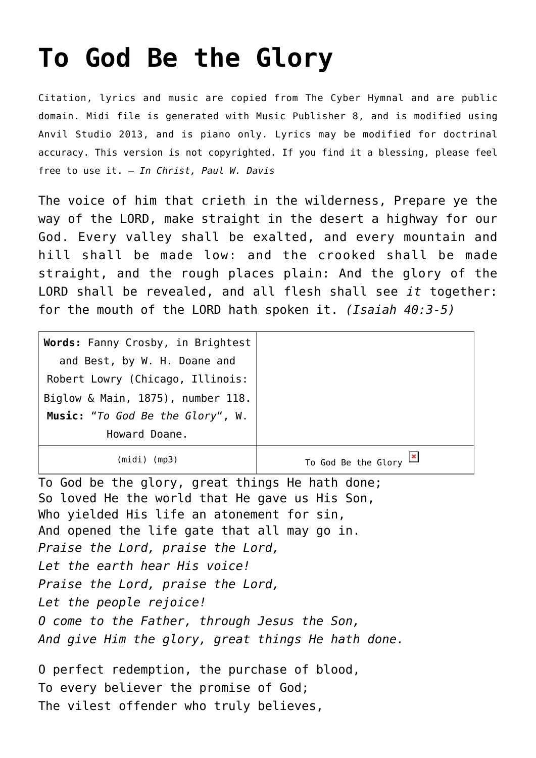## **[To God Be the Glory](http://reproachofmen.org/hymns-and-music/to-god-be-the-glory/)**

Citation, lyrics and music are copied from [The Cyber Hymnal](http://www.hymntime.com/tch/) and are public domain. Midi file is generated with [Music Publisher 8](http://www.braeburn.co.uk/mp.htm), and is modified using [Anvil Studio 2013](http://www.anvilstudio.com/), and is piano only. Lyrics may be modified for doctrinal accuracy. This version is not copyrighted. If you find it a blessing, please feel free to use it. — *In Christ, Paul W. Davis*

The voice of him that crieth in the wilderness, Prepare ye the way of the LORD, make straight in the desert a highway for our God. Every valley shall be exalted, and every mountain and hill shall be made low: and the crooked shall be made straight, and the rough places plain: And the glory of the LORD shall be revealed, and all flesh shall see *it* together: for the mouth of the LORD hath spoken it. *(Isaiah 40:3-5)*

| Words: Fanny Crosby, in Brightest |                                                |
|-----------------------------------|------------------------------------------------|
| and Best, by W. H. Doane and      |                                                |
| Robert Lowry (Chicago, Illinois:  |                                                |
| Biglow & Main, 1875), number 118. |                                                |
| Music: "To God Be the Glory", W.  |                                                |
| Howard Doane.                     |                                                |
| (midi) (mp3)                      | To God Be the Glory $\frac{\mid x \mid}{\mid}$ |

To God be the glory, great things He hath done; So loved He the world that He gave us His Son, Who yielded His life an atonement for sin, And opened the life gate that all may go in. *Praise the Lord, praise the Lord, Let the earth hear His voice! Praise the Lord, praise the Lord, Let the people rejoice! O come to the Father, through Jesus the Son, And give Him the glory, great things He hath done.*

O perfect redemption, the purchase of blood, To every believer the promise of God; The vilest offender who truly believes,